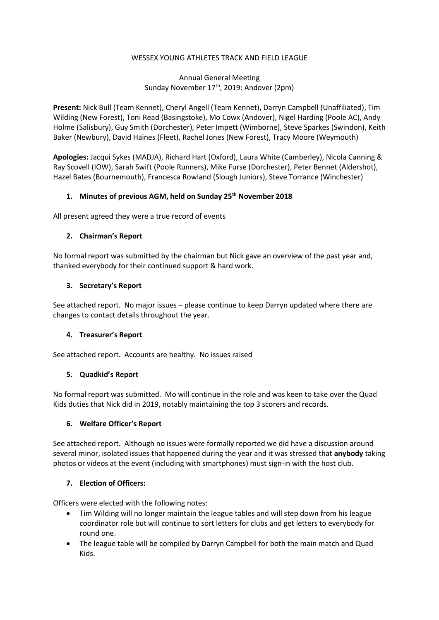### WESSEX YOUNG ATHLETES TRACK AND FIELD LEAGUE

# Annual General Meeting Sunday November 17<sup>th</sup>, 2019: Andover (2pm)

Present: Nick Bull (Team Kennet), Cheryl Angell (Team Kennet), Darryn Campbell (Unaffiliated), Tim Wilding (New Forest), Toni Read (Basingstoke), Mo Cowx (Andover), Nigel Harding (Poole AC), Andy Holme (Salisbury), Guy Smith (Dorchester), Peter Impett (Wimborne), Steve Sparkes (Swindon), Keith Baker (Newbury), David Haines (Fleet), Rachel Jones (New Forest), Tracy Moore (Weymouth)

Apologies: Jacqui Sykes (MADJA), Richard Hart (Oxford), Laura White (Camberley), Nicola Canning & Ray Scovell (IOW), Sarah Swift (Poole Runners), Mike Furse (Dorchester), Peter Bennet (Aldershot), Hazel Bates (Bournemouth), Francesca Rowland (Slough Juniors), Steve Torrance (Winchester)

# 1. Minutes of previous AGM, held on Sunday 25<sup>th</sup> November 2018

All present agreed they were a true record of events

### 2. Chairman's Report

No formal report was submitted by the chairman but Nick gave an overview of the past year and, thanked everybody for their continued support & hard work.

### 3. Secretary's Report

See attached report. No major issues – please continue to keep Darryn updated where there are changes to contact details throughout the year.

#### 4. Treasurer's Report

See attached report. Accounts are healthy. No issues raised

#### 5. Quadkid's Report

No formal report was submitted. Mo will continue in the role and was keen to take over the Quad Kids duties that Nick did in 2019, notably maintaining the top 3 scorers and records.

# 6. Welfare Officer's Report

See attached report. Although no issues were formally reported we did have a discussion around several minor, isolated issues that happened during the year and it was stressed that anybody taking photos or videos at the event (including with smartphones) must sign-in with the host club.

# 7. Election of Officers:

Officers were elected with the following notes:

- Tim Wilding will no longer maintain the league tables and will step down from his league coordinator role but will continue to sort letters for clubs and get letters to everybody for round one.
- The league table will be compiled by Darryn Campbell for both the main match and Quad Kids.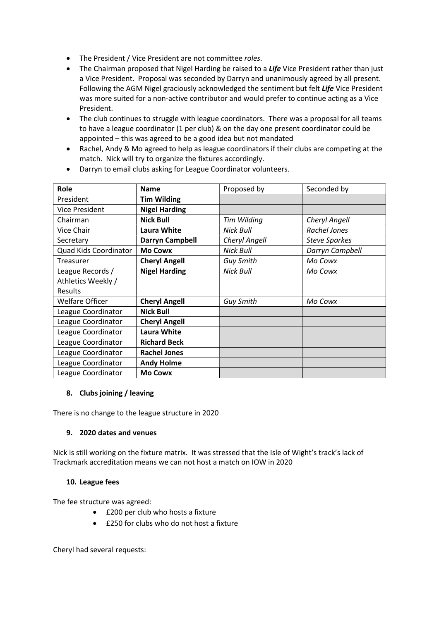- The President / Vice President are not committee roles.
- The Chairman proposed that Nigel Harding be raised to a Life Vice President rather than just a Vice President. Proposal was seconded by Darryn and unanimously agreed by all present. Following the AGM Nigel graciously acknowledged the sentiment but felt Life Vice President was more suited for a non-active contributor and would prefer to continue acting as a Vice President.
- The club continues to struggle with league coordinators. There was a proposal for all teams to have a league coordinator (1 per club) & on the day one present coordinator could be appointed – this was agreed to be a good idea but not mandated
- Rachel, Andy & Mo agreed to help as league coordinators if their clubs are competing at the match. Nick will try to organize the fixtures accordingly.

| Role                  | <b>Name</b>          | Proposed by      | Seconded by          |
|-----------------------|----------------------|------------------|----------------------|
| President             | <b>Tim Wilding</b>   |                  |                      |
| <b>Vice President</b> | <b>Nigel Harding</b> |                  |                      |
| Chairman              | <b>Nick Bull</b>     | Tim Wilding      | <b>Cheryl Angell</b> |
| Vice Chair            | Laura White          | Nick Bull        | Rachel Jones         |
| Secretary             | Darryn Campbell      | Cheryl Angell    | <b>Steve Sparkes</b> |
| Quad Kids Coordinator | <b>Mo Cowx</b>       | Nick Bull        | Darryn Campbell      |
| Treasurer             | <b>Cheryl Angell</b> | Guy Smith        | Mo Cowx              |
| League Records /      | <b>Nigel Harding</b> | <b>Nick Bull</b> | Mo Cowx              |
| Athletics Weekly /    |                      |                  |                      |
| Results               |                      |                  |                      |
| Welfare Officer       | <b>Cheryl Angell</b> | <b>Guy Smith</b> | Mo Cowx              |
| League Coordinator    | <b>Nick Bull</b>     |                  |                      |
| League Coordinator    | <b>Cheryl Angell</b> |                  |                      |
| League Coordinator    | <b>Laura White</b>   |                  |                      |
| League Coordinator    | <b>Richard Beck</b>  |                  |                      |
| League Coordinator    | <b>Rachel Jones</b>  |                  |                      |
| League Coordinator    | <b>Andy Holme</b>    |                  |                      |
| League Coordinator    | <b>Mo Cowx</b>       |                  |                      |

Darryn to email clubs asking for League Coordinator volunteers.

# 8. Clubs joining / leaving

There is no change to the league structure in 2020

# 9. 2020 dates and venues

Nick is still working on the fixture matrix. It was stressed that the Isle of Wight's track's lack of Trackmark accreditation means we can not host a match on IOW in 2020

# 10. League fees

The fee structure was agreed:

- £200 per club who hosts a fixture
- £250 for clubs who do not host a fixture

Cheryl had several requests: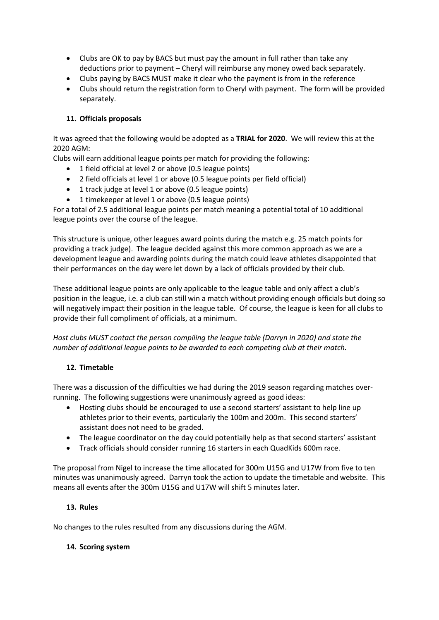- Clubs are OK to pay by BACS but must pay the amount in full rather than take any deductions prior to payment – Cheryl will reimburse any money owed back separately.
- Clubs paying by BACS MUST make it clear who the payment is from in the reference
- Clubs should return the registration form to Cheryl with payment. The form will be provided separately.

## 11. Officials proposals

It was agreed that the following would be adopted as a TRIAL for 2020. We will review this at the 2020 AGM:

Clubs will earn additional league points per match for providing the following:

- 1 field official at level 2 or above (0.5 league points)
- 2 field officials at level 1 or above (0.5 league points per field official)
- 1 track judge at level 1 or above (0.5 league points)
- 1 timekeeper at level 1 or above (0.5 league points)

For a total of 2.5 additional league points per match meaning a potential total of 10 additional league points over the course of the league.

This structure is unique, other leagues award points during the match e.g. 25 match points for providing a track judge). The league decided against this more common approach as we are a development league and awarding points during the match could leave athletes disappointed that their performances on the day were let down by a lack of officials provided by their club.

These additional league points are only applicable to the league table and only affect a club's position in the league, i.e. a club can still win a match without providing enough officials but doing so will negatively impact their position in the league table. Of course, the league is keen for all clubs to provide their full compliment of officials, at a minimum.

Host clubs MUST contact the person compiling the league table (Darryn in 2020) and state the number of additional league points to be awarded to each competing club at their match.

# 12. Timetable

There was a discussion of the difficulties we had during the 2019 season regarding matches overrunning. The following suggestions were unanimously agreed as good ideas:

- Hosting clubs should be encouraged to use a second starters' assistant to help line up athletes prior to their events, particularly the 100m and 200m. This second starters' assistant does not need to be graded.
- The league coordinator on the day could potentially help as that second starters' assistant
- Track officials should consider running 16 starters in each QuadKids 600m race.

The proposal from Nigel to increase the time allocated for 300m U15G and U17W from five to ten minutes was unanimously agreed. Darryn took the action to update the timetable and website. This means all events after the 300m U15G and U17W will shift 5 minutes later.

#### 13. Rules

No changes to the rules resulted from any discussions during the AGM.

#### 14. Scoring system